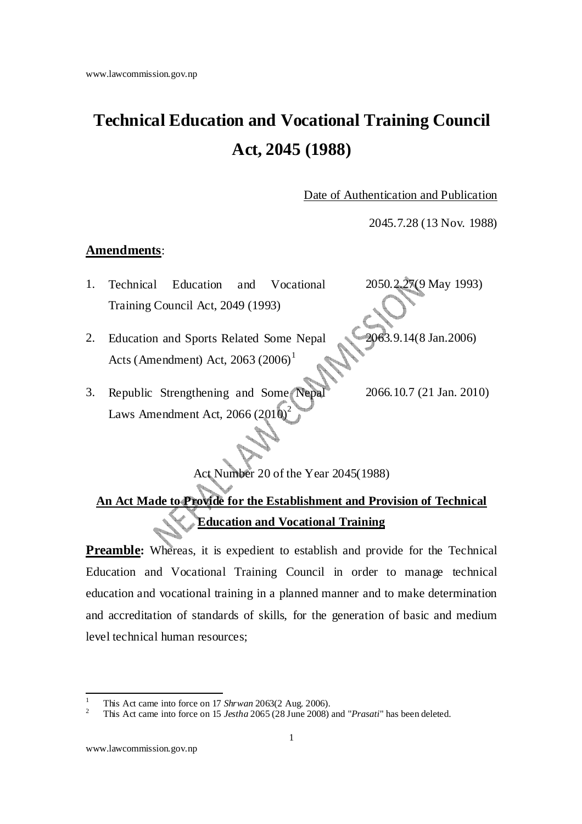# **Technical Education and Vocational Training Council Act, 2045 (1988)**

Date of Authentication and Publication

2045.7.28 (13 Nov. 1988)

#### **Amendments**:

- 1. Technical Education and Vocational Training Council Act, 2049 (1993) 2050.2.27(9 May 1993)
- 2. Education and Sports Related Some Nepal Acts (Amendment) Act,  $2063 (2006)^1$ 2063.9.14(8 Jan.2006)
- 3. Republic Strengthening and Some Nepa Laws Amendment Act,  $2066 (2010)^2$ 2066.10.7 (21 Jan. 2010)

Act Number 20 of the Year 2045(1988)

## **An Act Made to Provide for the Establishment and Provision of Technical Education and Vocational Training**

**Preamble:** Whereas, it is expedient to establish and provide for the Technical Education and Vocational Training Council in order to manage technical education and vocational training in a planned manner and to make determination and accreditation of standards of skills, for the generation of basic and medium level technical human resources;

<sup>1</sup> This Act came into force on 17 *Shrwan* 2063(2 Aug. 2006).

<sup>2</sup> This Act came into force on 15 *Jestha* 2065 (28 June 2008) and "*Prasati*" has been deleted.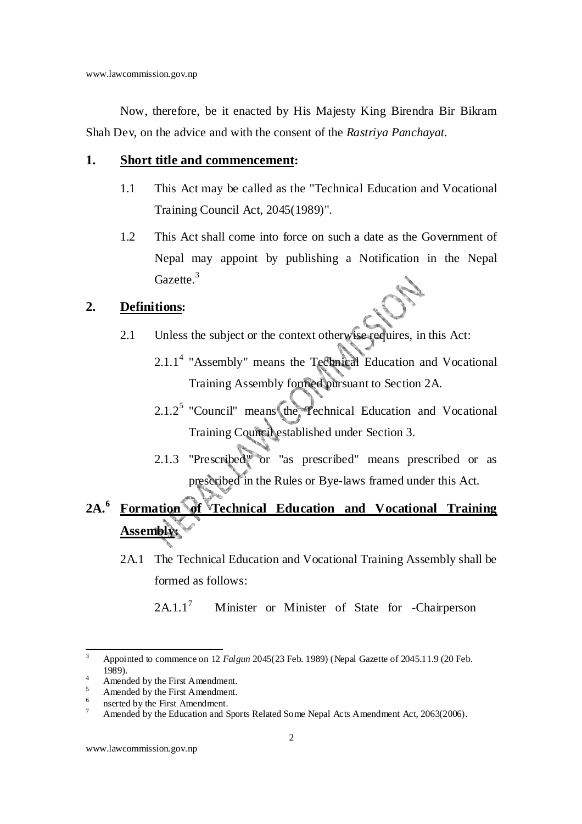Now, therefore, be it enacted by His Majesty King Birendra Bir Bikram Shah Dev, on the advice and with the consent of the *Rastriya Panchayat*.

#### **1. Short title and commencement:**

- 1.1 This Act may be called as the "Technical Education and Vocational Training Council Act, 2045(1989)".
- 1.2 This Act shall come into force on such a date as the Government of Nepal may appoint by publishing a Notification in the Nepal Gazette.<sup>3</sup>

#### **2. Definitions:**

- 2.1 Unless the subject or the context otherwise requires, in this Act:
	- $2.1.1<sup>4</sup>$  "Assembly" means the Technical Education and Vocational Training Assembly formed pursuant to Section 2A.
	- $2.1.2<sup>5</sup>$  "Council" means the Technical Education and Vocational Training Council established under Section 3.
	- 2.1.3 "Prescribed" or "as prescribed" means prescribed or as prescribed in the Rules or Bye-laws framed under this Act.

# **2A.<sup>6</sup> Formation of Technical Education and Vocational Training Assembly:**

2A.1 The Technical Education and Vocational Training Assembly shall be formed as follows:

 $2A11<sup>7</sup>$ Minister or Minister of State for -Chairperson

<sup>3</sup> Appointed to commence on 12 *Falgun* 2045(23 Feb. 1989) (Nepal Gazette of 2045.11.9 (20 Feb. 1989). 4

Amended by the First Amendment.

<sup>5</sup> Amended by the First Amendment.

<sup>6</sup> nserted by the First Amendment. 7

Amended by the Education and Sports Related Some Nepal Acts Amendment Act, 2063(2006).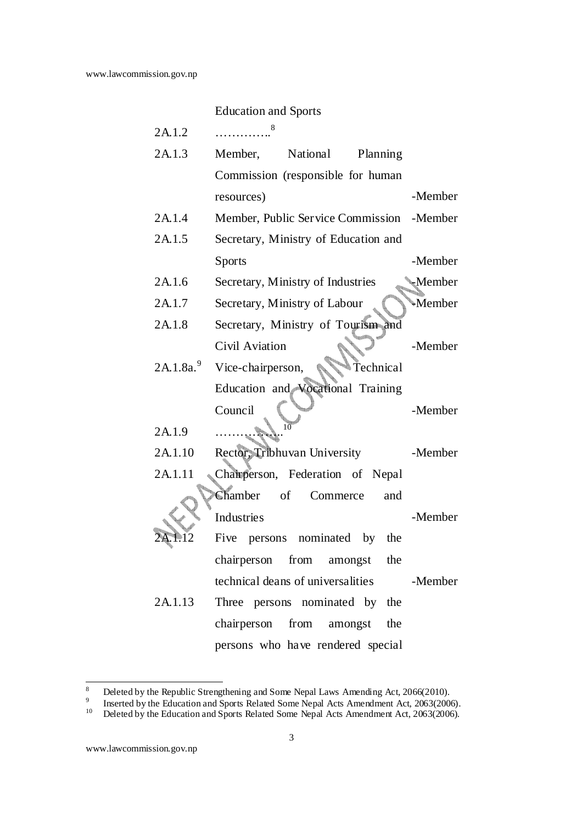|                      | <b>Education and Sports</b>               |               |
|----------------------|-------------------------------------------|---------------|
| 2A.1.2               | 8                                         |               |
| 2A.1.3               | National<br>Member,<br>Planning           |               |
|                      | Commission (responsible for human         |               |
|                      | resources)                                | -Member       |
| 2A.1.4               | Member, Public Service Commission -Member |               |
| 2A.1.5               | Secretary, Ministry of Education and      |               |
|                      | <b>Sports</b>                             | -Member       |
| 2A.1.6               | Secretary, Ministry of Industries         | <b>Member</b> |
| 2A.1.7               | Secretary, Ministry of Labour             | Member        |
| 2A.1.8               | Secretary, Ministry of Tourism and        |               |
|                      | Civil Aviation                            | -Member       |
| 2A.1.8a <sup>9</sup> | Vice-chairperson,<br>Technical            |               |
|                      | Education and Vocational Training         |               |
|                      | Council                                   | -Member       |
| 2A.1.9               |                                           |               |
| 2A.1.10              | Rector, Tribhuvan University              | -Member       |
| 2A.1.11              | Chairperson, Federation of Nepal          |               |
|                      | Chamber of<br>Commerce<br>and             |               |
|                      | Industries                                | -Member       |
|                      | Five<br>persons nominated by<br>the       |               |
|                      | chairperson from amongst the              |               |
|                      | technical deans of universalities         | -Member       |
| 2A.1.13              | Three persons nominated by the            |               |
|                      | chairperson from amongst<br>the           |               |
|                      | persons who have rendered special         |               |

<sup>8</sup> Deleted by the Republic Strengthening and Some Nepal Laws Amending Act, 2066(2010).

<sup>9</sup> Inserted by the Education and Sports Related Some Nepal Acts Amendment Act, 2063(2006).

<sup>&</sup>lt;sup>10</sup> Deleted by the Education and Sports Related Some Nepal Acts Amendment Act, 2063(2006).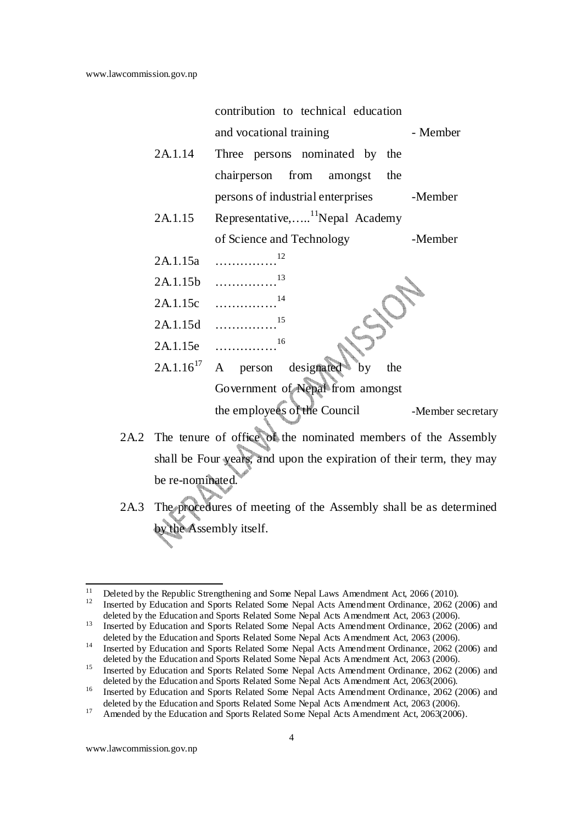|                | contribution to technical education            |                   |
|----------------|------------------------------------------------|-------------------|
|                | and vocational training                        | - Member          |
| 2A.1.14        | Three persons nominated by the                 |                   |
|                | chairperson from amongst the                   |                   |
|                | persons of industrial enterprises -Member      |                   |
| 2A.1.15        | Representative, <sup>11</sup> Nepal Academy    |                   |
|                | of Science and Technology                      | -Member           |
| 2A.1.15a       |                                                |                   |
|                | 13<br>$2A.1.15b$                               |                   |
| 2A.1.15c       | 14                                             |                   |
|                | 15<br>$2A.1.15d$                               |                   |
| 2A.1.15e       | 16                                             |                   |
| $2A.1.16^{17}$ | $\mathbf{A}$<br>person designated<br>by<br>the |                   |
|                | Government of Nepal from amongst               |                   |
|                | the employees of the Council                   | -Member secretary |
|                |                                                |                   |

- 2A.2 The tenure of office of the nominated members of the Assembly shall be Four years, and upon the expiration of their term, they may be re-nominated.
- 2A.3 The procedures of meeting of the Assembly shall be as determined by the Assembly itself.

<sup>&</sup>lt;sup>11</sup> Deleted by the Republic Strengthening and Some Nepal Laws Amendment Act, 2066 (2010).

<sup>12</sup> Inserted by Education and Sports Related Some Nepal Acts Amendment Ordinance, 2062 (2006) and deleted by the Education and Sports Related Some Nepal Acts Amendment Act, 2063 (2006).

<sup>&</sup>lt;sup>13</sup> Inserted by Education and Sports Related Some Nepal Acts Amendment Ordinance, 2062 (2006) and deleted by the Education and Sports Related Some Nepal Acts Amendment Act, 2063 (2006).

<sup>&</sup>lt;sup>14</sup> Inserted by Education and Sports Related Some Nepal Acts Amendment Ordinance, 2062 (2006) and deleted by the Education and Sports Related Some Nepal Acts Amendment Act, 2063 (2006).

<sup>&</sup>lt;sup>15</sup> Inserted by Education and Sports Related Some Nepal Acts Amendment Ordinance, 2062 (2006) and deleted by the Education and Sports Related Some Nepal Acts Amendment Act, 2063(2006).

<sup>&</sup>lt;sup>16</sup> Inserted by Education and Sports Related Some Nepal Acts Amendment Ordinance, 2062 (2006) and deleted by the Education and Sports Related Some Nepal Acts Amendment Act, 2063 (2006).

<sup>&</sup>lt;sup>17</sup> Amended by the Education and Sports Related Some Nepal Acts Amendment Act, 2063(2006).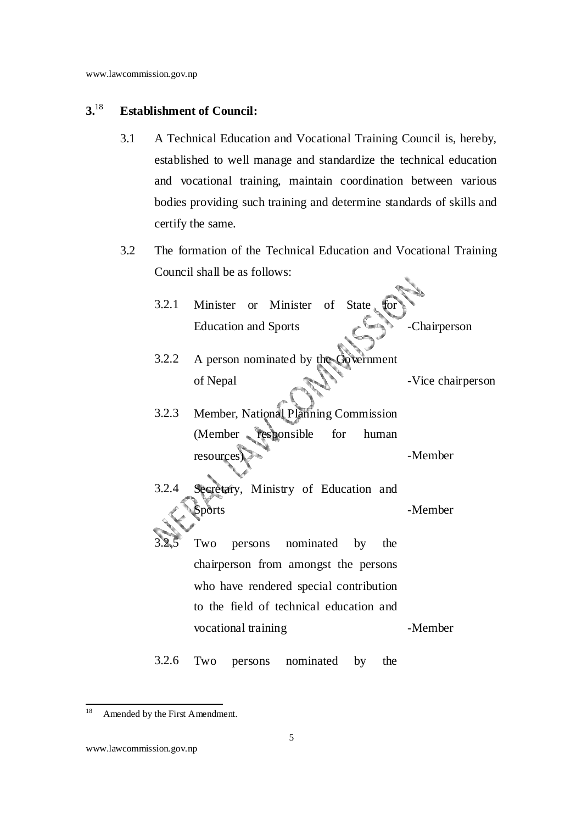### **3.**<sup>18</sup> **Establishment of Council:**

- 3.1 A Technical Education and Vocational Training Council is, hereby, established to well manage and standardize the technical education and vocational training, maintain coordination between various bodies providing such training and determine standards of skills and certify the same.
- 3.2 The formation of the Technical Education and Vocational Training Council shall be as follows:  $\mathcal{L}$

| 3.2.1 | Minister or Minister of State<br>for             |                   |
|-------|--------------------------------------------------|-------------------|
|       | <b>Education and Sports</b>                      | -Chairperson      |
| 3.2.2 | A person nominated by the Government<br>of Nepal | -Vice chairperson |
| 3.2.3 | Member, National Planning Commission             |                   |
|       | (Member responsible for<br>human<br>resources    | -Member           |
| 3.2.4 | Secretary, Ministry of Education and<br>Sports   | -Member           |
|       | Two<br>nominated<br>by<br>persons<br>the         |                   |
|       | chairperson from amongst the persons             |                   |
|       | who have rendered special contribution           |                   |
|       | to the field of technical education and          |                   |
|       | vocational training                              | -Member           |
|       |                                                  |                   |

3.2.6 Two persons nominated by the

<sup>&</sup>lt;sup>18</sup> Amended by the First Amendment.

www.lawcommission.gov.np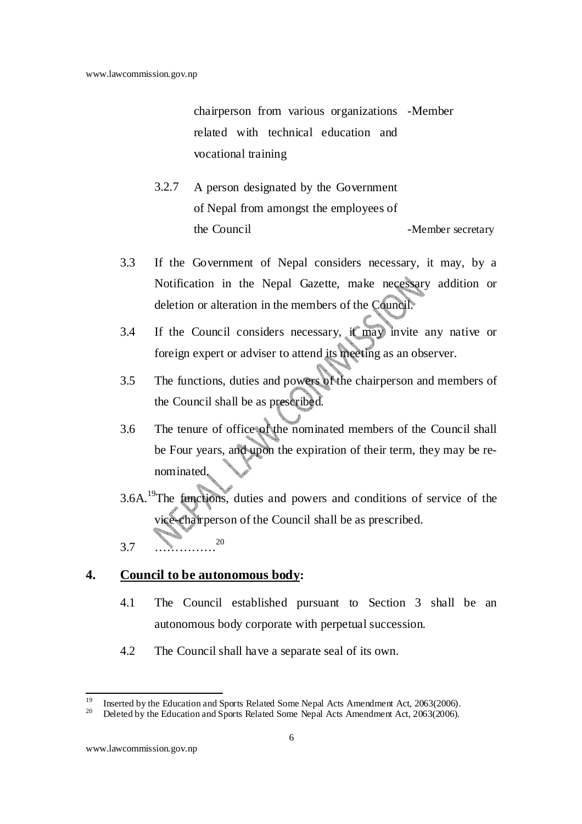chairperson from various organizations -Member related with technical education and vocational training

- 3.2.7 A person designated by the Government of Nepal from amongst the employees of the Council -Member secretary
- 3.3 If the Government of Nepal considers necessary, it may, by a Notification in the Nepal Gazette, make necessary addition or deletion or alteration in the members of the Council.
- 3.4 If the Council considers necessary, it may invite any native or foreign expert or adviser to attend its meeting as an observer.
- 3.5 The functions, duties and powers of the chairperson and members of the Council shall be as prescribed.
- 3.6 The tenure of office of the nominated members of the Council shall be Four years, and upon the expiration of their term, they may be renominated.
- 3.6A.<sup>19</sup>The functions, duties and powers and conditions of service of the vice-chairperson of the Council shall be as prescribed. 3.7 ……………<sup>20</sup>

#### **4. Council to be autonomous body:**

- 4.1 The Council established pursuant to Section 3 shall be an autonomous body corporate with perpetual succession.
- 4.2 The Council shall have a separate seal of its own.

<sup>&</sup>lt;sup>19</sup> Inserted by the Education and Sports Related Some Nepal Acts Amendment Act, 2063(2006).<br><sup>20</sup> Delated by the Education and Sports Related Some Nepal Acts Amendment Act, 2063(2006).

<sup>20</sup> Deleted by the Education and Sports Related Some Nepal Acts Amendment Act, 2063(2006).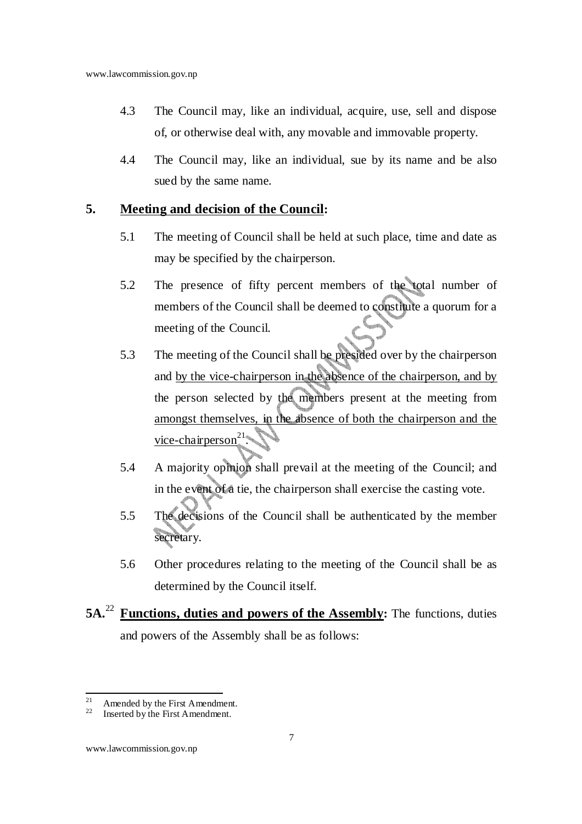- 4.3 The Council may, like an individual, acquire, use, sell and dispose of, or otherwise deal with, any movable and immovable property.
- 4.4 The Council may, like an individual, sue by its name and be also sued by the same name.

#### **5. Meeting and decision of the Council:**

- 5.1 The meeting of Council shall be held at such place, time and date as may be specified by the chairperson.
- 5.2 The presence of fifty percent members of the total number of members of the Council shall be deemed to constitute a quorum for a meeting of the Council.
- 5.3 The meeting of the Council shall be presided over by the chairperson and by the vice-chairperson in the absence of the chairperson, and by the person selected by the members present at the meeting from amongst themselves, in the absence of both the chairperson and the vice-chairperson<sup>21</sup>.
- 5.4 A majority opinion shall prevail at the meeting of the Council; and in the event of a tie, the chairperson shall exercise the casting vote.
- 5.5 The decisions of the Council shall be authenticated by the member secretary.
- 5.6 Other procedures relating to the meeting of the Council shall be as determined by the Council itself.
- **5A.**<sup>22</sup> **Functions, duties and powers of the Assembly:** The functions, duties and powers of the Assembly shall be as follows:

<sup>&</sup>lt;sup>21</sup> Amended by the First Amendment.<br><sup>22</sup> Inserted by the First Amendment.

Inserted by the First Amendment.

www.lawcommission.gov.np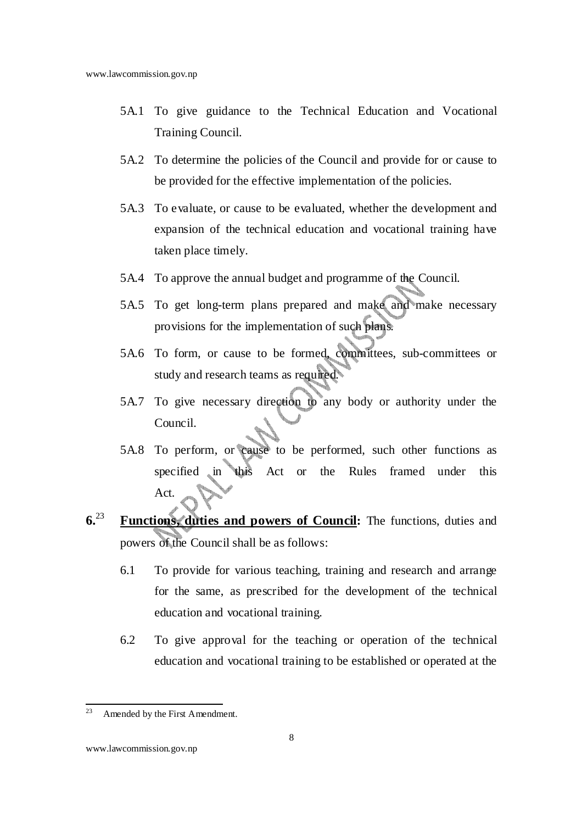- 5A.1 To give guidance to the Technical Education and Vocational Training Council.
- 5A.2 To determine the policies of the Council and provide for or cause to be provided for the effective implementation of the policies.
- 5A.3 To evaluate, or cause to be evaluated, whether the development and expansion of the technical education and vocational training have taken place timely.
- 5A.4 To approve the annual budget and programme of the Council.
- 5A.5 To get long-term plans prepared and make and make necessary provisions for the implementation of such plans.
- 5A.6 To form, or cause to be formed, committees, sub-committees or study and research teams as required.
- 5A.7 To give necessary direction to any body or authority under the Council.
- 5A.8 To perform, or cause to be performed, such other functions as specified in this Act or the Rules framed under this Act.
- **6.**<sup>23</sup> **Functions, duties and powers of Council:** The functions, duties and powers of the Council shall be as follows:
	- 6.1 To provide for various teaching, training and research and arrange for the same, as prescribed for the development of the technical education and vocational training.
	- 6.2 To give approval for the teaching or operation of the technical education and vocational training to be established or operated at the

<sup>&</sup>lt;sup>23</sup> Amended by the First Amendment.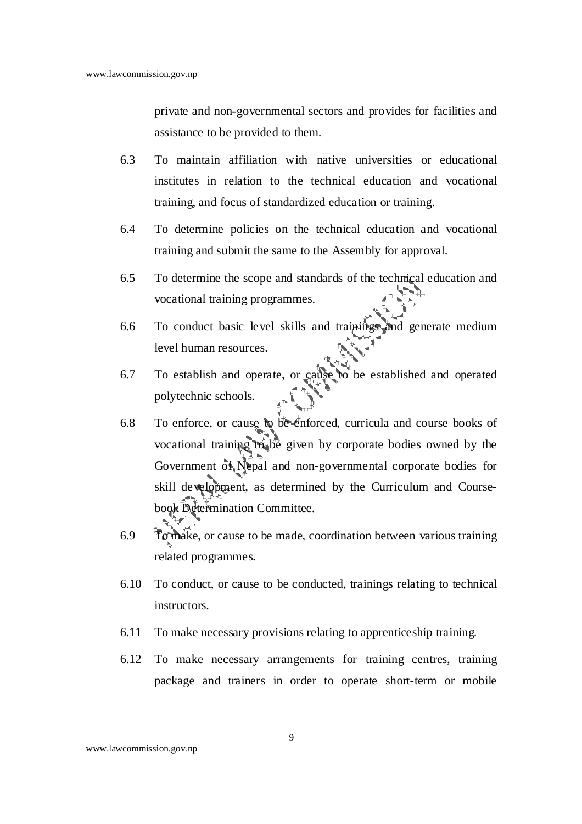private and non-governmental sectors and provides for facilities and assistance to be provided to them.

- 6.3 To maintain affiliation with native universities or educational institutes in relation to the technical education and vocational training, and focus of standardized education or training.
- 6.4 To determine policies on the technical education and vocational training and submit the same to the Assembly for approval.
- 6.5 To determine the scope and standards of the technical education and vocational training programmes.
- 6.6 To conduct basic level skills and trainings and generate medium level human resources.
- 6.7 To establish and operate, or cause to be established and operated polytechnic schools.
- 6.8 To enforce, or cause to be enforced, curricula and course books of vocational training to be given by corporate bodies owned by the Government of Nepal and non-governmental corporate bodies for skill development, as determined by the Curriculum and Coursebook Determination Committee.
- 6.9 To make, or cause to be made, coordination between various training related programmes.
- 6.10 To conduct, or cause to be conducted, trainings relating to technical instructors.
- 6.11 To make necessary provisions relating to apprenticeship training.
- 6.12 To make necessary arrangements for training centres, training package and trainers in order to operate short-term or mobile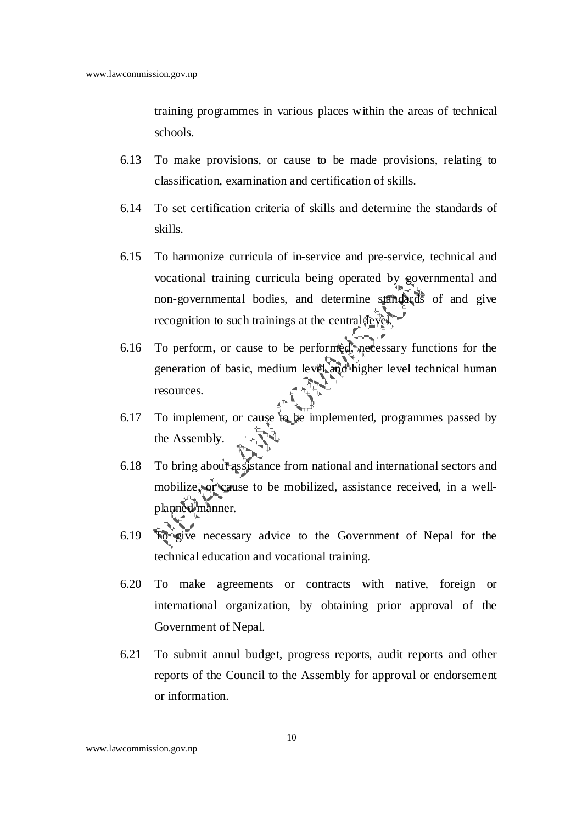training programmes in various places within the areas of technical schools.

- 6.13 To make provisions, or cause to be made provisions, relating to classification, examination and certification of skills.
- 6.14 To set certification criteria of skills and determine the standards of skills.
- 6.15 To harmonize curricula of in-service and pre-service, technical and vocational training curricula being operated by governmental and non-governmental bodies, and determine standards of and give recognition to such trainings at the central level.
- 6.16 To perform, or cause to be performed, necessary functions for the generation of basic, medium level and higher level technical human resources.
- 6.17 To implement, or cause to be implemented, programmes passed by the Assembly.
- 6.18 To bring about assistance from national and international sectors and mobilize, or cause to be mobilized, assistance received, in a wellplanned manner.
- 6.19 To give necessary advice to the Government of Nepal for the technical education and vocational training.
- 6.20 To make agreements or contracts with native, foreign or international organization, by obtaining prior approval of the Government of Nepal.
- 6.21 To submit annul budget, progress reports, audit reports and other reports of the Council to the Assembly for approval or endorsement or information.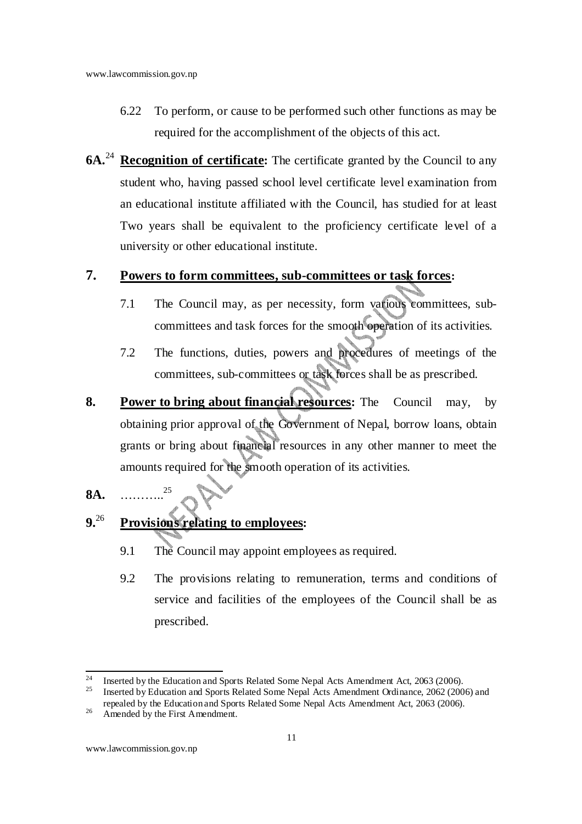- 6.22 To perform, or cause to be performed such other functions as may be required for the accomplishment of the objects of this act.
- **6A.**<sup>24</sup> **Recognition of certificate:** The certificate granted by the Council to any student who, having passed school level certificate level examination from an educational institute affiliated with the Council, has studied for at least Two years shall be equivalent to the proficiency certificate level of a university or other educational institute.

#### **7. Powers to form committees, sub-committees or task forces:**

- 7.1 The Council may, as per necessity, form various committees, subcommittees and task forces for the smooth operation of its activities.
- 7.2 The functions, duties, powers and procedures of meetings of the committees, sub-committees or task forces shall be as prescribed.
- **8. Power to bring about financial resources:** The Council may, by obtaining prior approval of the Government of Nepal, borrow loans, obtain grants or bring about financial resources in any other manner to meet the amounts required for the smooth operation of its activities.
- **8A.** ……….. 25

### **9.**<sup>26</sup> **Provisions relating to** e**mployees:**

- 9.1 The Council may appoint employees as required.
- 9.2 The provisions relating to remuneration, terms and conditions of service and facilities of the employees of the Council shall be as prescribed.

<sup>&</sup>lt;sup>24</sup> Inserted by the Education and Sports Related Some Nepal Acts Amendment Act,  $2063$  (2006). <sup>25</sup> Inserted by Education and Sports Related Some Nepal Acts Amendment Ordinance, 2062 (2006) and

repealed by the Education and Sports Related Some Nepal Acts Amendment Act, 2063 (2006).

 $26$  Amended by the First Amendment.

www.lawcommission.gov.np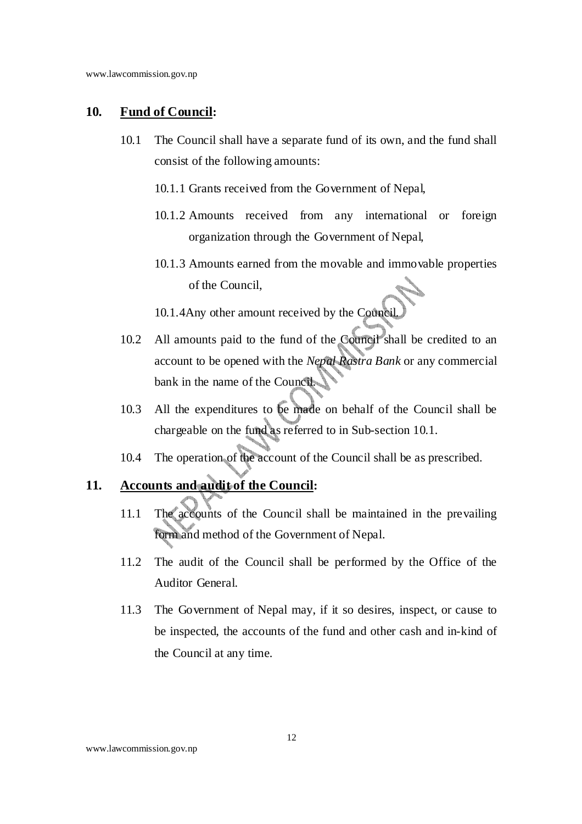#### **10. Fund of Council:**

- 10.1 The Council shall have a separate fund of its own, and the fund shall consist of the following amounts:
	- 10.1.1 Grants received from the Government of Nepal,
	- 10.1.2 Amounts received from any international or foreign organization through the Government of Nepal,
	- 10.1.3 Amounts earned from the movable and immovable properties of the Council,
	- 10.1.4Any other amount received by the Council.
- 10.2 All amounts paid to the fund of the Council shall be credited to an account to be opened with the *Nepal Rastra Bank* or any commercial bank in the name of the Council.
- 10.3 All the expenditures to be made on behalf of the Council shall be chargeable on the fund as referred to in Sub-section 10.1.
- 10.4 The operation of the account of the Council shall be as prescribed.

#### **11. Accounts and audit of the Council:**

- 11.1 The accounts of the Council shall be maintained in the prevailing form and method of the Government of Nepal.
- 11.2 The audit of the Council shall be performed by the Office of the Auditor General.
- 11.3 The Government of Nepal may, if it so desires, inspect, or cause to be inspected, the accounts of the fund and other cash and in-kind of the Council at any time.